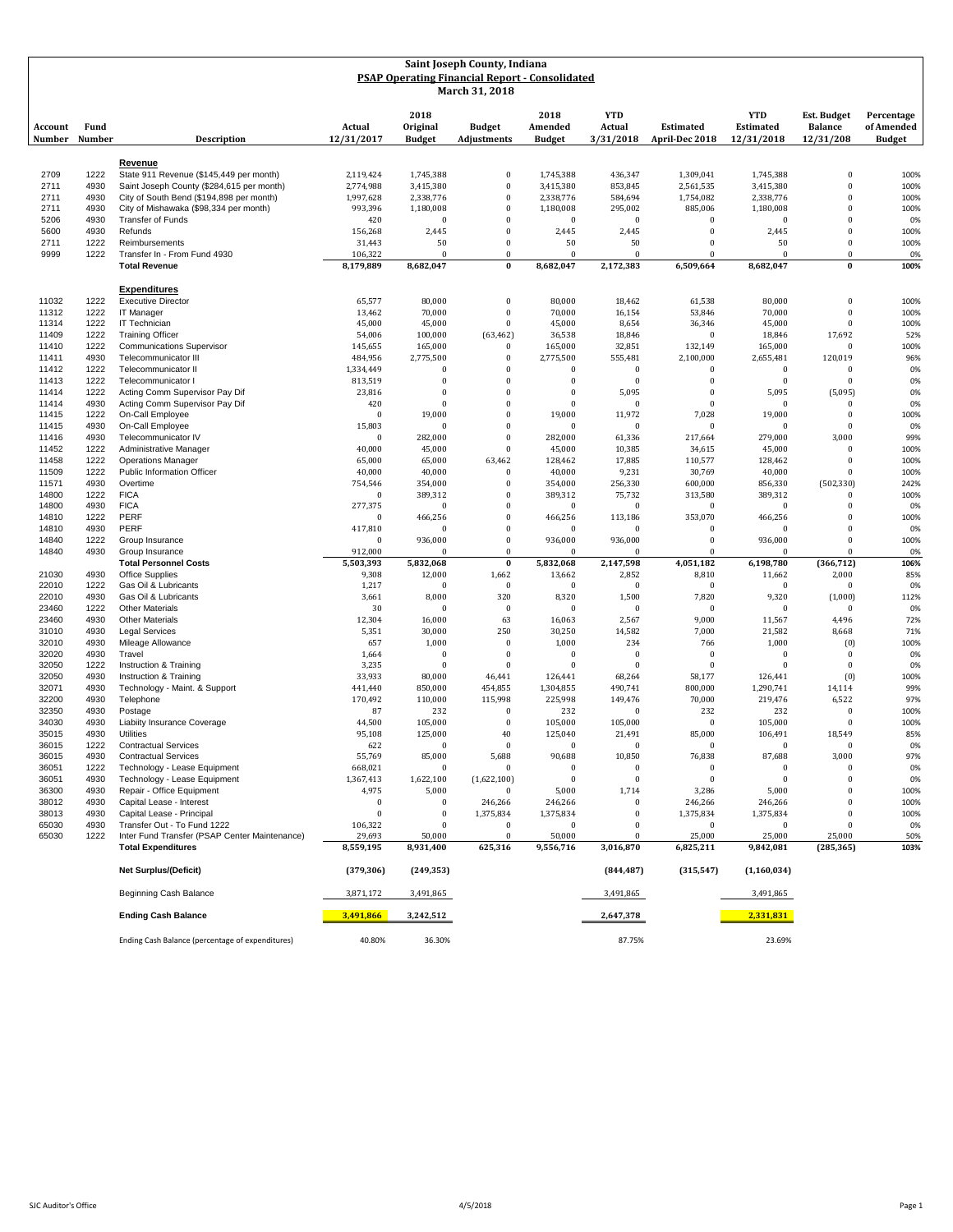| Saint Joseph County, Indiana<br><b>PSAP Operating Financial Report - Consolidated</b><br>March 31, 2018 |                |                                                                                    |                         |                                   |                                      |                                  |                                   |                                    |                                              |                                                   |                                           |
|---------------------------------------------------------------------------------------------------------|----------------|------------------------------------------------------------------------------------|-------------------------|-----------------------------------|--------------------------------------|----------------------------------|-----------------------------------|------------------------------------|----------------------------------------------|---------------------------------------------------|-------------------------------------------|
| Account<br>Number                                                                                       | Fund<br>Number | <b>Description</b>                                                                 | Actual<br>12/31/2017    | 2018<br>Original<br><b>Budget</b> | <b>Budget</b><br><b>Adjustments</b>  | 2018<br>Amended<br><b>Budget</b> | <b>YTD</b><br>Actual<br>3/31/2018 | <b>Estimated</b><br>April-Dec 2018 | <b>YTD</b><br><b>Estimated</b><br>12/31/2018 | <b>Est. Budget</b><br><b>Balance</b><br>12/31/208 | Percentage<br>of Amended<br><b>Budget</b> |
|                                                                                                         |                |                                                                                    |                         |                                   |                                      |                                  |                                   |                                    |                                              |                                                   |                                           |
| 2709                                                                                                    | 1222           | Revenue<br>State 911 Revenue (\$145,449 per month)                                 | 2,119,424               | 1,745,388                         | $\mathbf{0}$                         | 1,745,388                        | 436,347                           | 1,309,041                          | 1,745,388                                    | $\bf{0}$                                          | 100%                                      |
| 2711                                                                                                    | 4930           | Saint Joseph County (\$284,615 per month)                                          | 2,774,988               | 3,415,380                         | $\bf{0}$                             | 3,415,380                        | 853,845                           | 2,561,535                          | 3,415,380                                    | $\bf{0}$                                          | 100%                                      |
| 2711<br>2711                                                                                            | 4930<br>4930   | City of South Bend (\$194,898 per month)<br>City of Mishawaka (\$98,334 per month) | 1,997,628<br>993,396    | 2,338,776<br>1,180,008            | $\Omega$<br>$\bf{0}$                 | 2,338,776<br>1,180,008           | 584,694<br>295,002                | 1,754,082<br>885,006               | 2,338,776<br>1,180,008                       | $\bf{0}$<br>$\mathbf{0}$                          | 100%<br>100%                              |
| 5206                                                                                                    | 4930           | <b>Transfer of Funds</b>                                                           | 420                     | $\Omega$                          | $\boldsymbol{0}$                     | $\bf{0}$                         | $\mathbf{0}$                      | $\bf{0}$                           | $\bf{0}$                                     | $\bf{0}$                                          | 0%                                        |
| 5600                                                                                                    | 4930           | Refunds                                                                            | 156,268                 | 2,445                             | $\boldsymbol{0}$                     | 2,445                            | 2,445                             | $\mathbf{0}$                       | 2,445                                        | $\bf{0}$                                          | 100%                                      |
| 2711<br>9999                                                                                            | 1222<br>1222   | Reimbursements<br>Transfer In - From Fund 4930                                     | 31,443<br>106,322       | 50<br>$\Omega$                    | $\boldsymbol{0}$<br>$\mathbf{0}$     | 50<br>$\mathbf{0}$               | 50<br>$\Omega$                    | $\mathbf{0}$<br>$\mathbf{0}$       | 50<br>$\theta$                               | $\bf{0}$<br>$\Omega$                              | 100%<br>0%                                |
|                                                                                                         |                | <b>Total Revenue</b>                                                               | 8,179,889               | 8,682,047                         | $\bf{0}$                             | 8,682,047                        | 2,172,383                         | 6.509.664                          | 8,682,047                                    | $\bf{0}$                                          | 100%                                      |
|                                                                                                         |                | <b>Expenditures</b>                                                                |                         |                                   |                                      |                                  |                                   |                                    |                                              |                                                   |                                           |
| 11032<br>11312                                                                                          | 1222<br>1222   | <b>Executive Director</b><br>IT Manager                                            | 65,577<br>13,462        | 80,000<br>70,000                  | $\boldsymbol{0}$<br>$\mathbf{0}$     | 80,000<br>70,000                 | 18,462<br>16,154                  | 61,538<br>53,846                   | 80,000<br>70,000                             | $\bf{0}$<br>$\bf{0}$                              | 100%<br>100%                              |
| 11314                                                                                                   | 1222           | <b>IT Technician</b>                                                               | 45,000                  | 45,000                            | $\bf{0}$                             | 45,000                           | 8,654                             | 36,346                             | 45,000                                       | $\bf{0}$                                          | 100%                                      |
| 11409                                                                                                   | 1222           | <b>Training Officer</b>                                                            | 54,006                  | 100,000                           | (63, 462)                            | 36,538                           | 18,846                            | $\Omega$                           | 18,846                                       | 17,692                                            | 52%                                       |
| 11410<br>11411                                                                                          | 1222<br>4930   | <b>Communications Supervisor</b><br>Telecommunicator III                           | 145,655<br>484,956      | 165,000<br>2,775,500              | $\bf{0}$<br>$\boldsymbol{0}$         | 165,000<br>2,775,500             | 32,851<br>555,481                 | 132,149<br>2,100,000               | 165,000<br>2,655,481                         | $\bf{0}$<br>120,019                               | 100%<br>96%                               |
| 11412                                                                                                   | 1222           | Telecommunicator II                                                                | 1,334,449               | $\boldsymbol{0}$                  | $\bf{0}$                             | $\bf{0}$                         | $\mathbf{0}$                      | $\bf{0}$                           | $\bf{0}$                                     | $\bf{0}$                                          | 0%                                        |
| 11413                                                                                                   | 1222           | Telecommunicator I                                                                 | 813,519                 | $\theta$                          | $\Omega$                             | $\mathbf{0}$                     | $\Omega$                          | $\mathbf{0}$                       | $\bf{0}$                                     | $\bf{0}$                                          | 0%                                        |
| 11414<br>11414                                                                                          | 1222<br>4930   | Acting Comm Supervisor Pay Dif<br>Acting Comm Supervisor Pay Dif                   | 23,816<br>420           | $\Omega$<br>$\Omega$              | $\Omega$<br>$\Omega$                 | $\bf{0}$<br>$\mathbf{0}$         | 5,095<br>$\Omega$                 | $\bf{0}$<br>$\mathbf{0}$           | 5,095<br>$\bf{0}$                            | (5,095)<br>$\Omega$                               | 0%<br>0%                                  |
| 11415                                                                                                   | 1222           | On-Call Employee                                                                   | $\mathbf{0}$            | 19,000                            | $\Omega$                             | 19,000                           | 11,972                            | 7,028                              | 19,000                                       | $\bf{0}$                                          | 100%                                      |
| 11415                                                                                                   | 4930           | On-Call Employee                                                                   | 15,803                  | $\Omega$                          | $\Omega$                             | $\bf{0}$                         | $\Omega$                          | $\Omega$                           | $\theta$                                     | $\bf{0}$                                          | 0%                                        |
| 11416<br>11452                                                                                          | 4930<br>1222   | Telecommunicator IV<br>Administrative Manager                                      | $\mathbf{0}$            | 282,000                           | $\Omega$<br>$\boldsymbol{0}$         | 282,000                          | 61,336                            | 217,664                            | 279,000                                      | 3,000<br>$\bf{0}$                                 | 99%                                       |
| 11458                                                                                                   | 1222           | <b>Operations Manager</b>                                                          | 40,000<br>65,000        | 45,000<br>65,000                  | 63,462                               | 45,000<br>128,462                | 10,385<br>17,885                  | 34,615<br>110,577                  | 45,000<br>128,462                            | $\mathbf{0}$                                      | 100%<br>100%                              |
| 11509                                                                                                   | 1222           | Public Information Officer                                                         | 40,000                  | 40,000                            | $\bf{0}$                             | 40,000                           | 9,231                             | 30,769                             | 40,000                                       | $\bf{0}$                                          | 100%                                      |
| 11571                                                                                                   | 4930           | Overtime                                                                           | 754,546                 | 354,000                           | $\Omega$                             | 354,000                          | 256,330                           | 600,000                            | 856,330                                      | (502, 330)                                        | 242%                                      |
| 14800<br>14800                                                                                          | 1222<br>4930   | <b>FICA</b><br><b>FICA</b>                                                         | $\mathbf{0}$<br>277,375 | 389,312<br>$\Omega$               | $\Omega$<br>$\Omega$                 | 389,312<br>$\mathbf{0}$          | 75,732<br>$\Omega$                | 313,580<br>$\mathbf{0}$            | 389,312<br>$\theta$                          | $\bf{0}$<br>$\mathbf{0}$                          | 100%<br>0%                                |
| 14810                                                                                                   | 1222           | PERF                                                                               | $\bf{0}$                | 466,256                           | $\Omega$                             | 466,256                          | 113,186                           | 353,070                            | 466,256                                      | $\bf{0}$                                          | 100%                                      |
| 14810                                                                                                   | 4930           | PERF                                                                               | 417,810                 | $\Omega$                          | $\Omega$                             | $\bf{0}$                         | $\Omega$                          | $\mathbf{0}$                       | $\theta$                                     | $\bf{0}$                                          | 0%                                        |
| 14840<br>14840                                                                                          | 1222<br>4930   | Group Insurance<br>Group Insurance                                                 | $\bf{0}$<br>912,000     | 936,000<br>$\Omega$               | $\boldsymbol{0}$<br>$\boldsymbol{0}$ | 936,000<br>$\mathbf{0}$          | 936,000<br>$\Omega$               | $\bf{0}$<br>$\bf{0}$               | 936,000<br>$\Omega$                          | $\bf{0}$<br>$\theta$                              | 100%<br>0%                                |
|                                                                                                         |                | <b>Total Personnel Costs</b>                                                       | 5,503,393               | 5,832,068                         | $\bf{0}$                             | 5,832,068                        | 2,147,598                         | 4,051,182                          | 6,198,780                                    | (366, 712)                                        | 106%                                      |
| 21030                                                                                                   | 4930           | Office Supplies                                                                    | 9,308                   | 12,000                            | 1,662                                | 13,662                           | 2,852                             | 8,810                              | 11,662                                       | 2,000                                             | 85%                                       |
| 22010<br>22010                                                                                          | 1222<br>4930   | Gas Oil & Lubricants<br>Gas Oil & Lubricants                                       | 1,217<br>3,661          | $\Omega$<br>8,000                 | $\bf{0}$<br>320                      | $\mathbf{0}$<br>8,320            | $\Omega$<br>1,500                 | $\mathbf{0}$<br>7,820              | $\bf{0}$<br>9,320                            | $\bf{0}$<br>(1,000)                               | 0%<br>112%                                |
| 23460                                                                                                   | 1222           | <b>Other Materials</b>                                                             | 30                      | $\Omega$                          | $\bf{0}$                             | $\bf{0}$                         | $\Omega$                          | $\mathbf{0}$                       | $\bf{0}$                                     | $\bf{0}$                                          | 0%                                        |
| 23460                                                                                                   | 4930           | <b>Other Materials</b>                                                             | 12,304                  | 16,000                            | 63                                   | 16,063                           | 2,567                             | 9,000                              | 11,567                                       | 4,496                                             | 72%                                       |
| 31010<br>32010                                                                                          | 4930<br>4930   | <b>Legal Services</b><br>Mileage Allowance                                         | 5,351<br>657            | 30,000<br>1,000                   | 250<br>$\boldsymbol{0}$              | 30,250<br>1,000                  | 14,582<br>234                     | 7,000<br>766                       | 21,582<br>1,000                              | 8,668<br>(0)                                      | 71%<br>100%                               |
| 32020                                                                                                   | 4930           | Travel                                                                             | 1,664                   | $\Omega$                          | $\bf{0}$                             | $\bf{0}$                         | $\mathbf{0}$                      | $\mathbf{0}$                       | $\bf{0}$                                     | $\bf{0}$                                          | 0%                                        |
| 32050                                                                                                   | 1222           | Instruction & Training                                                             | 3,235                   | $\Omega$                          | $\mathbf{0}$                         | $\Omega$                         | $\Omega$                          | $\Omega$                           | $\Omega$                                     | $\bf{0}$                                          | 0%                                        |
| 32050<br>32071                                                                                          | 4930<br>4930   | Instruction & Training<br>Technology - Maint. & Support                            | 33,933<br>441,440       | 80,000<br>850,000                 | 46,441<br>454,855                    | 126,441<br>1,304,855             | 68,264<br>490,741                 | 58,177<br>800,000                  | 126,441<br>1,290,741                         | (0)<br>14,114                                     | 100%<br>99%                               |
| 32200                                                                                                   | 4930           | Telephone                                                                          | 170,492                 | 110,000                           | 115,998                              | 225,998                          | 149,476                           | 70,000                             | 219,476                                      | 6,522                                             | 97%                                       |
| 32350                                                                                                   | 4930           | Postage                                                                            | 87                      | 232                               | $\bf{0}$                             | 232                              | $\Omega$                          | 232                                | 232                                          | $\bf{0}$                                          | 100%                                      |
| 34030<br>35015                                                                                          | 4930<br>4930   | Liabiity Insurance Coverage                                                        | 44,500                  | 105,000                           | $\mathbf{0}$<br>40                   | 105,000                          | 105,000                           | $\mathbf{0}$                       | 105,000                                      | $\bf{0}$                                          | 100%                                      |
| 36015                                                                                                   | 1222           | Utilities<br><b>Contractual Services</b>                                           | 95,108<br>622           | 125,000<br>$\Omega$               | $\boldsymbol{0}$                     | 125,040<br>$\mathbf{0}$          | 21,491<br>$\Omega$                | 85,000<br>$\mathbf{0}$             | 106,491<br>$\bf{0}$                          | 18,549<br>$\bf{0}$                                | 85%<br>0%                                 |
| 36015                                                                                                   | 4930           | <b>Contractual Services</b>                                                        | 55,769                  | 85,000                            | 5,688                                | 90,688                           | 10,850                            | 76,838                             | 87,688                                       | 3,000                                             | 97%                                       |
| 36051                                                                                                   | 1222           | Technology - Lease Equipment                                                       | 668,021                 | $\Omega$                          | $\Omega$                             | $\bf{0}$                         | $\mathbf{0}$                      | $\bf{0}$                           | $\bf{0}$                                     | $\bf{0}$                                          | 0%                                        |
| 36051<br>36300                                                                                          | 4930<br>4930   | Technology - Lease Equipment<br>Repair - Office Equipment                          | 1,367,413<br>4,975      | 1,622,100<br>5,000                | (1,622,100)                          | $\bf{0}$<br>5,000                | $\Omega$<br>1,714                 | $\bf{0}$<br>3,286                  | $\Omega$<br>5,000                            | $\bf{0}$<br>$\mathbf{0}$                          | 0%<br>100%                                |
| 38012                                                                                                   | 4930           | Capital Lease - Interest                                                           | $\bf{0}$                |                                   | 246,266                              | 246,266                          | $\Omega$                          | 246,266                            | 246,266                                      | $\bf{0}$                                          | 100%                                      |
| 38013                                                                                                   | 4930           | Capital Lease - Principal                                                          | $\bf{0}$                | $\boldsymbol{0}$                  | 1,375,834                            | 1,375,834                        | $\mathbf{0}$                      | 1,375,834                          | 1,375,834                                    | $\theta$                                          | 100%                                      |
| 65030<br>65030                                                                                          | 4930<br>1222   | Transfer Out - To Fund 1222<br>Inter Fund Transfer (PSAP Center Maintenance)       | 106,322<br>29,693       | $\Omega$<br>50,000                | 0<br>$\boldsymbol{0}$                | $\Omega$<br>50,000               | $\Omega$<br>$\Omega$              | 0<br>25,000                        | $\bf{0}$<br>25,000                           | $\Omega$<br>25,000                                | 0%<br>50%                                 |
|                                                                                                         |                | <b>Total Expenditures</b>                                                          | 8,559,195               | 8,931,400                         | 625,316                              | 9,556,716                        | 3,016,870                         | 6,825,211                          | 9,842,081                                    | (285, 365)                                        | 103%                                      |
|                                                                                                         |                | <b>Net Surplus/(Deficit)</b>                                                       | (379, 306)              | (249, 353)                        |                                      |                                  | (844, 487)                        | (315, 547)                         | (1, 160, 034)                                |                                                   |                                           |
|                                                                                                         |                | Beginning Cash Balance                                                             | 3,871,172               | 3,491,865                         |                                      |                                  | 3,491,865                         |                                    | 3,491,865                                    |                                                   |                                           |
|                                                                                                         |                | <b>Ending Cash Balance</b>                                                         | 3,491,866               | 3,242,512                         |                                      |                                  | 2,647,378                         |                                    | 2,331,831                                    |                                                   |                                           |
|                                                                                                         |                | Ending Cash Balance (percentage of expenditures)                                   | 40.80%                  | 36.30%                            |                                      |                                  | 87.75%                            |                                    | 23.69%                                       |                                                   |                                           |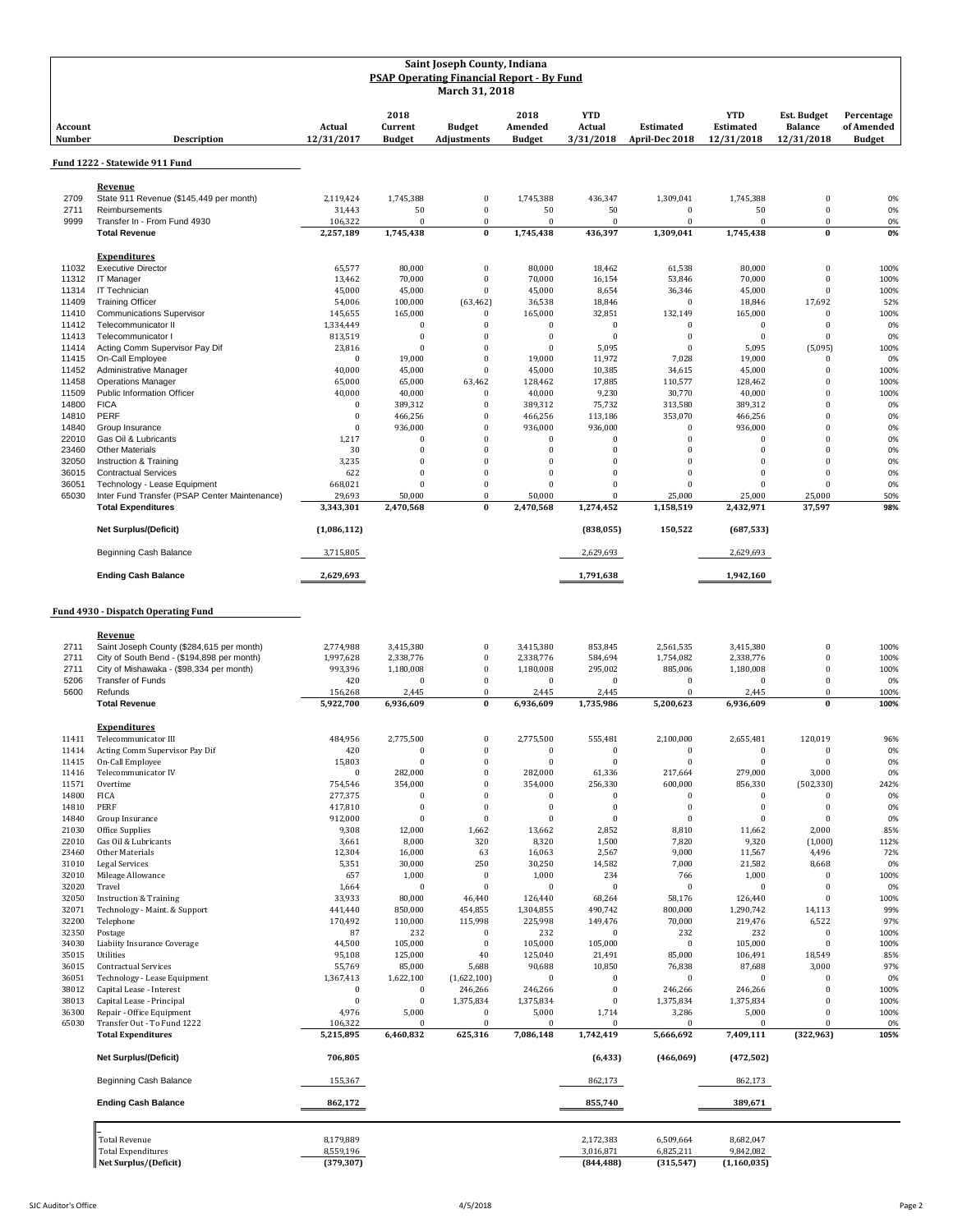|                          |                                               | Saint Joseph County, Indiana<br><b>PSAP Operating Financial Report - By Fund</b><br>March 31, 2018 |                                  |                              |                                  |                                   |                                    |                                              |                                                    |                                           |
|--------------------------|-----------------------------------------------|----------------------------------------------------------------------------------------------------|----------------------------------|------------------------------|----------------------------------|-----------------------------------|------------------------------------|----------------------------------------------|----------------------------------------------------|-------------------------------------------|
| Account<br><b>Number</b> | <b>Description</b>                            | Actual<br>12/31/2017                                                                               | 2018<br>Current<br><b>Budget</b> | <b>Budget</b><br>Adjustments | 2018<br>Amended<br><b>Budget</b> | <b>YTD</b><br>Actual<br>3/31/2018 | <b>Estimated</b><br>April-Dec 2018 | <b>YTD</b><br><b>Estimated</b><br>12/31/2018 | <b>Est. Budget</b><br><b>Balance</b><br>12/31/2018 | Percentage<br>of Amended<br><b>Budget</b> |
|                          | Fund 1222 - Statewide 911 Fund                |                                                                                                    |                                  |                              |                                  |                                   |                                    |                                              |                                                    |                                           |
|                          | Revenue                                       |                                                                                                    |                                  |                              |                                  |                                   |                                    |                                              |                                                    |                                           |
| 2709                     | State 911 Revenue (\$145,449 per month)       | 2.119.424                                                                                          | 1,745,388                        | $\bf{0}$                     | 1,745,388                        | 436,347                           | 1,309,041                          | 1,745,388                                    | $\bf{0}$                                           | 0%                                        |
| 2711                     | Reimbursements                                | 31,443                                                                                             | 50                               | $\bf{0}$                     | 50                               | 50                                | $\bf{0}$                           | 50                                           | $\pmb{0}$                                          | 0%                                        |
| 9999                     | Transfer In - From Fund 4930                  | 106,322                                                                                            | $\mathbf{0}$                     | $\bf{0}$                     | $\bf{0}$                         | $\theta$                          | $\mathbf{0}$                       | $\mathbf{0}$                                 | $\theta$                                           | 0%                                        |
|                          | <b>Total Revenue</b>                          | 2,257,189                                                                                          | 1,745,438                        | $\bf{0}$                     | 1,745,438                        | 436,397                           | 1,309,041                          | 1,745,438                                    | $\bf{0}$                                           | 0%                                        |
|                          | <b>Expenditures</b>                           |                                                                                                    |                                  |                              |                                  |                                   |                                    |                                              |                                                    |                                           |
| 11032                    | <b>Executive Director</b>                     | 65,577                                                                                             | 80,000                           | $\boldsymbol{0}$             | 80,000                           | 18,462                            | 61,538                             | 80,000                                       | $\pmb{0}$                                          | 100%                                      |
| 11312                    | IT Manager                                    | 13,462                                                                                             | 70,000                           | $\bf{0}$                     | 70,000                           | 16,154                            | 53,846                             | 70,000                                       | $\pmb{0}$                                          | 100%                                      |
| 11314                    | IT Technician                                 | 45,000                                                                                             | 45,000                           | $\mathbf{0}$                 | 45,000                           | 8,654                             | 36,346                             | 45,000                                       | $\bf{0}$                                           | 100%                                      |
| 11409                    | <b>Training Officer</b>                       | 54,006                                                                                             | 100,000                          | (63, 462)                    | 36,538                           | 18,846                            | $\mathbf{0}$                       | 18,846                                       | 17,692                                             | 52%                                       |
| 11410                    | <b>Communications Supervisor</b>              | 145,655                                                                                            | 165,000                          | $\bf{0}$                     | 165,000                          | 32,851                            | 132,149                            | 165,000                                      | $\bf{0}$                                           | 100%                                      |
| 11412                    | Telecommunicator II                           | 1,334,449                                                                                          | $\mathbf{0}$                     | $\mathbf{0}$                 | $\mathbf{0}$                     | $\mathbf{0}$                      | $\mathbf{0}$                       | $\mathbf{0}$                                 | $\bf{0}$                                           | 0%                                        |
| 11413                    | Telecommunicator I                            | 813,519                                                                                            | $\mathbf{0}$                     | $\bf{0}$                     | $\overline{0}$                   | $\mathbf{0}$                      | $\mathbf{0}$                       | $\mathbf{0}$                                 | $\bf{0}$                                           | 0%                                        |
| 11414                    | Acting Comm Supervisor Pay Dif                | 23,816                                                                                             | $\bf{0}$                         | $\bf{0}$                     | $\mathbf{0}$                     | 5,095                             | $\bf{0}$                           | 5,095                                        | (5,095)                                            | 100%                                      |
| 11415                    | On-Call Employee                              | $\bf{0}$                                                                                           | 19,000                           | $\bf{0}$                     | 19,000                           | 11,972                            | 7,028                              | 19,000                                       | $\bf{0}$                                           | 0%                                        |
| 11452                    | Administrative Manager                        | 40,000                                                                                             | 45,000                           | $\overline{0}$               | 45,000                           | 10,385                            | 34,615                             | 45,000                                       | $\bf{0}$                                           | 100%                                      |
| 11458                    | <b>Operations Manager</b>                     | 65,000                                                                                             | 65,000                           | 63,462                       | 128,462                          | 17,885                            | 110,577                            | 128,462                                      | $\theta$                                           | 100%                                      |
| 11509                    | Public Information Officer                    | 40,000                                                                                             | 40,000                           | $\mathbf{0}$                 | 40,000                           | 9,230                             | 30,770                             | 40,000                                       | $\theta$                                           | 100%                                      |
| 14800                    | <b>FICA</b>                                   | $\theta$                                                                                           | 389,312                          | $\Omega$                     | 389,312                          | 75,732                            | 313,580                            | 389,312                                      | $\theta$                                           | 0%                                        |
| 14810                    | PERF                                          | $\bf{0}$                                                                                           | 466,256                          | $\bf{0}$                     | 466,256                          | 113,186                           | 353,070                            | 466,256                                      | $\theta$                                           | 0%                                        |
| 14840                    | Group Insurance                               | $\theta$                                                                                           | 936,000                          | $\overline{0}$               | 936,000                          | 936,000                           | $\mathbf{0}$                       | 936,000                                      | $\theta$                                           | 0%                                        |
| 22010                    | Gas Oil & Lubricants                          | 1,217                                                                                              | $\bf{0}$                         | $\overline{0}$               | $\mathbf{0}$                     | $\mathbf{0}$                      | $\mathbf{0}$                       | $\Omega$                                     | $\bf{0}$                                           | 0%                                        |
| 23460                    | <b>Other Materials</b>                        | 30                                                                                                 | $\bf{0}$                         | $\Omega$                     | $\mathbf{0}$                     | $\Omega$                          | $\bf{0}$                           | $\Omega$                                     | $\Omega$                                           | 0%                                        |
| 32050                    | Instruction & Training                        | 3,235                                                                                              | $\mathbf{0}$                     | 0                            | $\bf{0}$                         | $\mathbf{0}$                      | $\bf{0}$                           | $\Omega$                                     | $\bf{0}$                                           | 0%                                        |
| 36015                    | <b>Contractual Services</b>                   | 622                                                                                                | $\bf{0}$                         | $\overline{0}$               | $\mathbf{0}$                     | $\Omega$                          | $\bf{0}$                           | $\Omega$                                     | $\bf{0}$                                           | 0%                                        |
| 36051                    | Technology - Lease Equipment                  | 668,021                                                                                            | $\Omega$                         | $\bf{0}$                     | $\mathbf{0}$                     | $\mathbf{0}$                      | $\mathbf{0}$                       | $\Omega$                                     | $\theta$                                           | 0%                                        |
| 65030                    | Inter Fund Transfer (PSAP Center Maintenance) | 29,693                                                                                             | 50,000                           | $\mathbf{0}$                 | 50,000                           | $\Omega$                          | 25,000                             | 25,000                                       | 25,000                                             | 50%                                       |
|                          | <b>Total Expenditures</b>                     | 3,343,301                                                                                          | 2,470,568                        | $\bf{0}$                     | 2,470,568                        | 1,274,452                         | 1,158,519                          | 2,432,971                                    | 37,597                                             | 98%                                       |
|                          | <b>Net Surplus/(Deficit)</b>                  | (1,086,112)                                                                                        |                                  |                              |                                  | (838, 055)                        | 150,522                            | (687, 533)                                   |                                                    |                                           |
|                          | Beginning Cash Balance                        | 3,715,805                                                                                          |                                  |                              |                                  | 2,629,693                         |                                    | 2,629,693                                    |                                                    |                                           |
|                          | <b>Ending Cash Balance</b>                    | 2,629,693                                                                                          |                                  |                              |                                  | 1,791,638                         |                                    | 1,942,160                                    |                                                    |                                           |

**Fund 4930 - Dispatch Operating Fund**

|       | Revenue                                    |              |              |              |            |                |            |               |            |      |
|-------|--------------------------------------------|--------------|--------------|--------------|------------|----------------|------------|---------------|------------|------|
| 2711  | Saint Joseph County (\$284,615 per month)  | 2,774,988    | 3,415,380    | $\bf{0}$     | 3,415,380  | 853,845        | 2,561,535  | 3,415,380     | $\bf{0}$   | 100% |
| 2711  | City of South Bend - (\$194,898 per month) | 1,997,628    | 2,338,776    | $\bf{0}$     | 2,338,776  | 584,694        | 1,754,082  | 2,338,776     | $\theta$   | 100% |
| 2711  | City of Mishawaka - (\$98,334 per month)   | 993,396      | 1,180,008    | $\theta$     | 1,180,008  | 295,002        | 885,006    | 1,180,008     | $\theta$   | 100% |
| 5206  | <b>Transfer of Funds</b>                   | 420          | $\Omega$     | $\theta$     | $\Omega$   | $\Omega$       | $\Omega$   | $\Omega$      | $\theta$   | 0%   |
| 5600  | Refunds                                    | 156,268      | 2,445        | $\bf{0}$     | 2,445      | 2,445          | $\Omega$   | 2,445         | $\bf{0}$   | 100% |
|       | <b>Total Revenue</b>                       | 5,922,700    | 6,936,609    | $\bf{0}$     | 6,936,609  | 1,735,986      | 5,200,623  | 6,936,609     | $\bf{0}$   | 100% |
|       | <b>Expenditures</b>                        |              |              |              |            |                |            |               |            |      |
| 11411 | Telecommunicator III                       | 484,956      | 2,775,500    | $\mathbf{0}$ | 2,775,500  | 555,481        | 2,100,000  | 2,655,481     | 120,019    | 96%  |
| 11414 | Acting Comm Supervisor Pay Dif             | 420          | $\theta$     | $\bf{0}$     | $\bf{0}$   | $\bf{0}$       | $\Omega$   | $\bf{0}$      | $\theta$   | 0%   |
| 11415 | On-Call Employee                           | 15,803       | $\Omega$     | $\bf{0}$     | $\sqrt{ }$ | $\mathbf{0}$   | $\Omega$   | $\theta$      | $\Omega$   | 0%   |
| 11416 | Telecommunicator IV                        | $\mathbf{0}$ | 282,000      | $\theta$     | 282,000    | 61,336         | 217,664    | 279,000       | 3,000      | 0%   |
| 11571 | Overtime                                   | 754,546      | 354,000      | $\theta$     | 354,000    | 256,330        | 600,000    | 856,330       | (502, 330) | 242% |
| 14800 | <b>FICA</b>                                | 277,375      | $\theta$     | $\theta$     | $\Omega$   | $\Omega$       | $\theta$   | $\mathbf{0}$  | $\theta$   | 0%   |
| 14810 | PERF                                       | 417,810      | $\Omega$     | $\Omega$     | $\sqrt{ }$ | $\Omega$       | $\theta$   | $\theta$      | $\theta$   | 0%   |
| 14840 | Group Insurance                            | 912,000      | $\Omega$     | $\mathbf{0}$ | $\sqrt{ }$ | $\theta$       | $\Omega$   | $\Omega$      | $\Omega$   | 0%   |
| 21030 | Office Supplies                            | 9,308        | 12,000       | 1,662        | 13,662     | 2,852          | 8,810      | 11,662        | 2,000      | 85%  |
| 22010 | Gas Oil & Lubricants                       | 3,661        | 8,000        | 320          | 8,320      | 1,500          | 7,820      | 9,320         | (1,000)    | 112% |
| 23460 | Other Materials                            | 12,304       | 16,000       | 63           | 16,063     | 2,567          | 9,000      | 11,567        | 4,496      | 72%  |
| 31010 | <b>Legal Services</b>                      | 5,351        | 30,000       | 250          | 30,250     | 14,582         | 7,000      | 21,582        | 8,668      | 0%   |
| 32010 | Mileage Allowance                          | 657          | 1,000        | $\theta$     | 1,000      | 234            | 766        | 1,000         | $\theta$   | 100% |
| 32020 | Travel                                     | 1,664        | $\mathbf{0}$ | $\theta$     | $\Omega$   | $\theta$       | $\theta$   | $\theta$      | $\theta$   | 0%   |
| 32050 | <b>Instruction &amp; Training</b>          | 33,933       | 80,000       | 46,440       | 126,440    | 68,264         | 58,176     | 126,440       | $\theta$   | 100% |
| 32071 | Technology - Maint. & Support              | 441,440      | 850,000      | 454,855      | 1,304,855  | 490,742        | 800,000    | 1,290,742     | 14,113     | 99%  |
| 32200 | Telephone                                  | 170,492      | 110,000      | 115,998      | 225,998    | 149,476        | 70,000     | 219,476       | 6,522      | 97%  |
| 32350 | Postage                                    | 87           | 232          | $\mathbf{0}$ | 232        | $\overline{0}$ | 232        | 232           | $\bf{0}$   | 100% |
| 34030 | Liabiity Insurance Coverage                | 44,500       | 105,000      | $\Omega$     | 105,000    | 105,000        | $\theta$   | 105,000       | $\theta$   | 100% |
| 35015 | <b>Utilities</b>                           | 95,108       | 125,000      | 40           | 125,040    | 21,491         | 85,000     | 106,491       | 18,549     | 85%  |
| 36015 | <b>Contractual Services</b>                | 55,769       | 85,000       | 5,688        | 90,688     | 10,850         | 76,838     | 87,688        | 3,000      | 97%  |
| 36051 | Technology - Lease Equipment               | 1,367,413    | 1,622,100    | (1,622,100)  | $\sqrt{ }$ | $\bf{0}$       | $\bf{0}$   | $\mathbf{0}$  | $\bf{0}$   | 0%   |
| 38012 | Capital Lease - Interest                   | $\bf{0}$     | $\mathbf{0}$ | 246,266      | 246,266    | $\Omega$       | 246,266    | 246,266       | $\theta$   | 100% |
| 38013 | Capital Lease - Principal                  | $\mathbf{0}$ | $\Omega$     | 1,375,834    | 1,375,834  | $\mathbf{0}$   | 1,375,834  | 1,375,834     | $\theta$   | 100% |
| 36300 | Repair - Office Equipment                  | 4,976        | 5,000        | $\mathbf{0}$ | 5,000      | 1,714          | 3,286      | 5,000         | $\theta$   | 100% |
| 65030 | Transfer Out - To Fund 1222                | 106,322      | $\mathbf{0}$ | $\Omega$     | $\sqrt{ }$ | $\mathbf{0}$   | $\Omega$   | $\Omega$      | $\bf{0}$   | 0%   |
|       | <b>Total Expenditures</b>                  | 5,215,895    | 6,460,832    | 625,316      | 7,086,148  | 1,742,419      | 5,666,692  | 7,409,111     | (322, 963) | 105% |
|       | <b>Net Surplus/(Deficit)</b>               | 706,805      |              |              |            | (6, 433)       | (466,069)  | (472, 502)    |            |      |
|       | Beginning Cash Balance                     | 155,367      |              |              |            | 862,173        |            | 862,173       |            |      |
|       | <b>Ending Cash Balance</b>                 | 862,172      |              |              |            | 855,740        |            | 389,671       |            |      |
|       | <b>Total Revenue</b>                       | 8,179,889    |              |              |            | 2,172,383      | 6,509,664  | 8,682,047     |            |      |
|       | <b>Total Expenditures</b>                  | 8,559,196    |              |              |            | 3,016,871      | 6,825,211  | 9,842,082     |            |      |
|       | Net Surplus/(Deficit)                      | (379, 307)   |              |              |            | (844, 488)     | (315, 547) | (1, 160, 035) |            |      |
|       |                                            |              |              |              |            |                |            |               |            |      |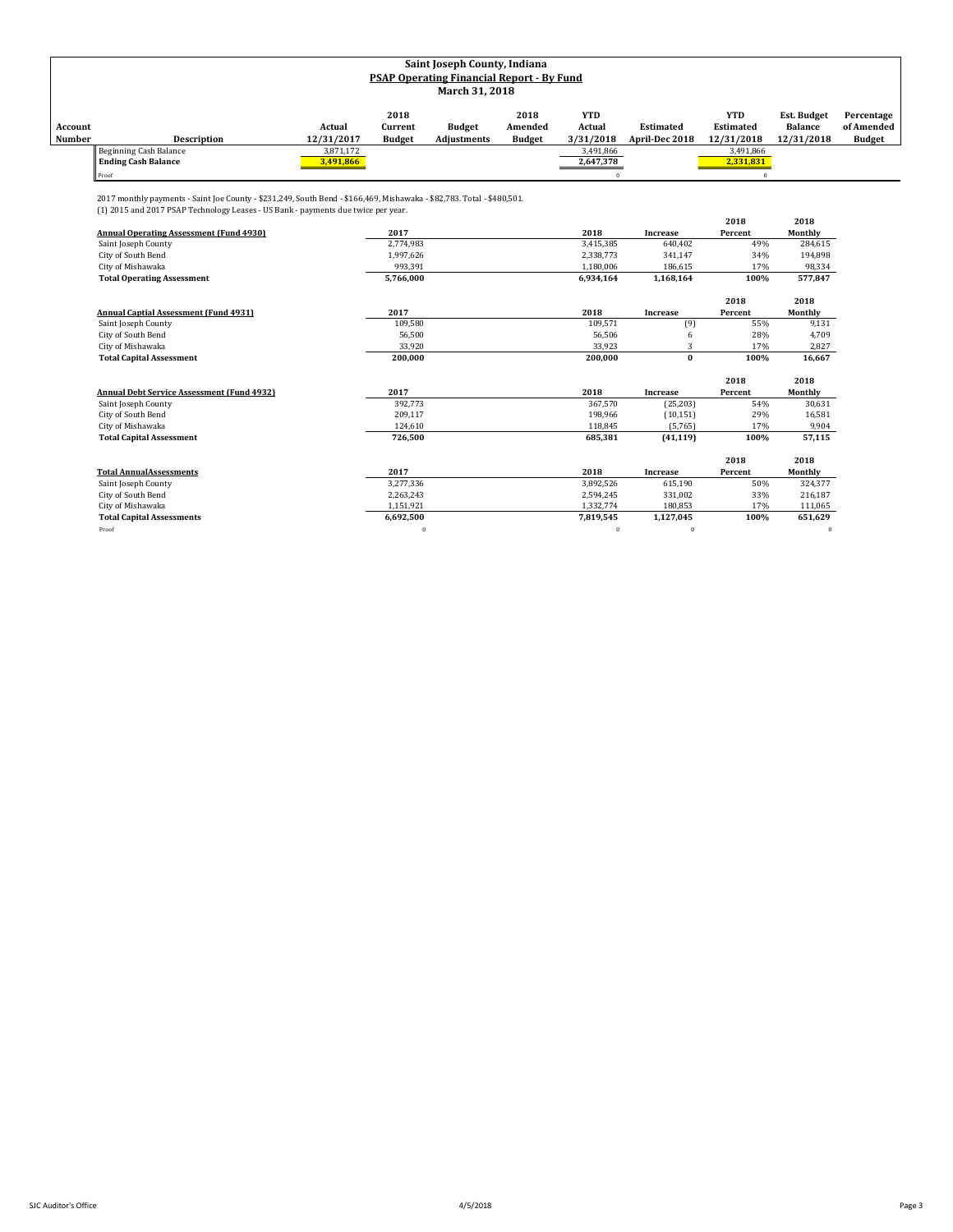|         | Saint Joseph County, Indiana                     |            |               |               |               |            |                  |                  |                    |               |  |
|---------|--------------------------------------------------|------------|---------------|---------------|---------------|------------|------------------|------------------|--------------------|---------------|--|
|         | <b>PSAP Operating Financial Report - By Fund</b> |            |               |               |               |            |                  |                  |                    |               |  |
|         | March 31, 2018                                   |            |               |               |               |            |                  |                  |                    |               |  |
|         |                                                  |            |               |               |               |            |                  |                  |                    |               |  |
|         |                                                  |            | 2018          |               | 2018          | <b>YTD</b> |                  | <b>YTD</b>       | <b>Est. Budget</b> | Percentage    |  |
| Account |                                                  | Actual     | Current       | <b>Budget</b> | Amended       | Actual     | <b>Estimated</b> | <b>Estimated</b> | <b>Balance</b>     | of Amended    |  |
| Number  | Description                                      | 12/31/2017 | <b>Budget</b> | Adjustments   | <b>Budget</b> | 3/31/2018  | April-Dec 2018   | 12/31/2018       | 12/31/2018         | <b>Budget</b> |  |
|         | Beginning Cash Balance                           | 3,871,172  |               |               |               | 3,491,866  |                  | 3,491,866        |                    |               |  |
|         | <b>Ending Cash Balance</b>                       | 3,491,866  |               |               |               | 2,647,378  |                  | 2,331,831        |                    |               |  |
|         | Proof                                            |            |               |               |               |            |                  |                  |                    |               |  |

2017 monthly payments - Saint Joe County - \$231,249, South Bend - \$166,469, Mishawaka - \$82,783. Total - \$480,501.

| (1) 2015 and 2017 PSAP Technology Leases - US Bank - payments due twice per year. |
|-----------------------------------------------------------------------------------|
|                                                                                   |

|                                                   |           |           |                 | 2018    | 2018    |
|---------------------------------------------------|-----------|-----------|-----------------|---------|---------|
| <b>Annual Operating Assessment (Fund 4930)</b>    | 2017      | 2018      | Increase        | Percent | Monthly |
| Saint Joseph County                               | 2,774,983 | 3,415,385 | 640,402         | 49%     | 284,615 |
| City of South Bend                                | 1,997,626 | 2,338,773 | 341,147         | 34%     | 194,898 |
| City of Mishawaka                                 | 993,391   | 1,180,006 | 186,615         | 17%     | 98,334  |
| <b>Total Operating Assessment</b>                 | 5,766,000 | 6,934,164 | 1,168,164       | 100%    | 577,847 |
|                                                   |           |           |                 | 2018    | 2018    |
| <b>Annual Captial Assessment (Fund 4931)</b>      | 2017      | 2018      | Increase        | Percent | Monthly |
| Saint Joseph County                               | 109,580   | 109,571   | (9)             | 55%     | 9,131   |
| City of South Bend                                | 56.500    | 56,506    |                 | 28%     | 4,709   |
| City of Mishawaka                                 | 33,920    | 33,923    | 3               | 17%     | 2,827   |
| <b>Total Capital Assessment</b>                   | 200.000   | 200.000   | $\bf{0}$        | 100%    | 16,667  |
|                                                   |           |           |                 |         |         |
|                                                   |           |           |                 | 2018    | 2018    |
| <b>Annual Debt Service Assessment (Fund 4932)</b> | 2017      | 2018      | Increase        | Percent | Monthly |
| Saint Joseph County                               | 392.773   | 367,570   | (25, 203)       | 54%     | 30,631  |
| City of South Bend                                | 209,117   | 198,966   | (10, 151)       | 29%     | 16,581  |
| City of Mishawaka                                 | 124,610   | 118,845   | (5,765)         | 17%     | 9,904   |
| <b>Total Capital Assessment</b>                   | 726,500   | 685,381   | (41, 119)       | 100%    | 57,115  |
|                                                   |           |           |                 | 2018    | 2018    |
| <b>Total AnnualAssessments</b>                    | 2017      | 2018      | <b>Increase</b> | Percent | Monthly |
| Saint Joseph County                               | 3,277,336 | 3,892,526 | 615,190         | 50%     | 324,377 |
| City of South Bend                                | 2,263,243 | 2,594,245 | 331,002         | 33%     | 216,187 |
| City of Mishawaka                                 | 1,151,921 | 1,332,774 | 180,853         | 17%     | 111,065 |
| <b>Total Capital Assessments</b>                  | 6,692,500 | 7,819,545 | 1,127,045       | 100%    | 651,629 |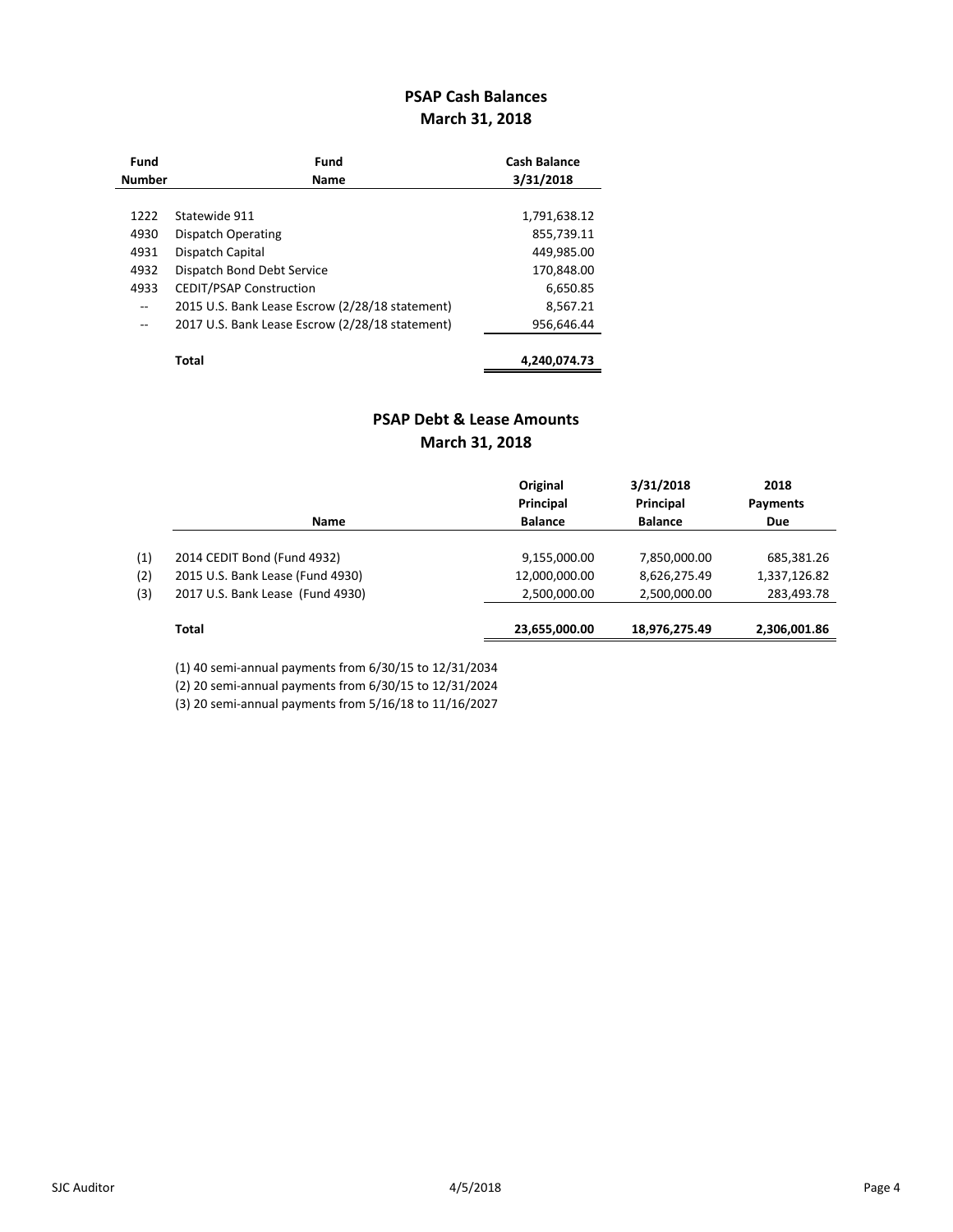## **PSAP Cash Balances March 31, 2018**

| Fund          | Fund                                            | <b>Cash Balance</b> |
|---------------|-------------------------------------------------|---------------------|
| <b>Number</b> | Name                                            | 3/31/2018           |
|               |                                                 |                     |
| 1222          | Statewide 911                                   | 1,791,638.12        |
| 4930          | Dispatch Operating                              | 855,739.11          |
| 4931          | Dispatch Capital                                | 449,985.00          |
| 4932          | Dispatch Bond Debt Service                      | 170,848.00          |
| 4933          | <b>CEDIT/PSAP Construction</b>                  | 6,650.85            |
| $-$           | 2015 U.S. Bank Lease Escrow (2/28/18 statement) | 8,567.21            |
| $-$           | 2017 U.S. Bank Lease Escrow (2/28/18 statement) | 956.646.44          |
|               | <b>Total</b>                                    | 4,240,074.73        |

## **PSAP Debt & Lease Amounts March 31, 2018**

|     |                                  | Original<br>Principal | 3/31/2018<br>Principal | 2018<br>Payments |
|-----|----------------------------------|-----------------------|------------------------|------------------|
|     | <b>Name</b>                      | <b>Balance</b>        | <b>Balance</b>         | Due              |
|     |                                  |                       |                        |                  |
| (1) | 2014 CEDIT Bond (Fund 4932)      | 9,155,000.00          | 7,850,000.00           | 685,381.26       |
| (2) | 2015 U.S. Bank Lease (Fund 4930) | 12,000,000.00         | 8,626,275.49           | 1,337,126.82     |
| (3) | 2017 U.S. Bank Lease (Fund 4930) | 2,500,000.00          | 2,500,000.00           | 283,493.78       |
|     |                                  |                       |                        |                  |
|     | Total                            | 23,655,000.00         | 18,976,275.49          | 2,306,001.86     |

(1) 40 semi-annual payments from 6/30/15 to 12/31/2034

(2) 20 semi-annual payments from 6/30/15 to 12/31/2024

(3) 20 semi-annual payments from 5/16/18 to 11/16/2027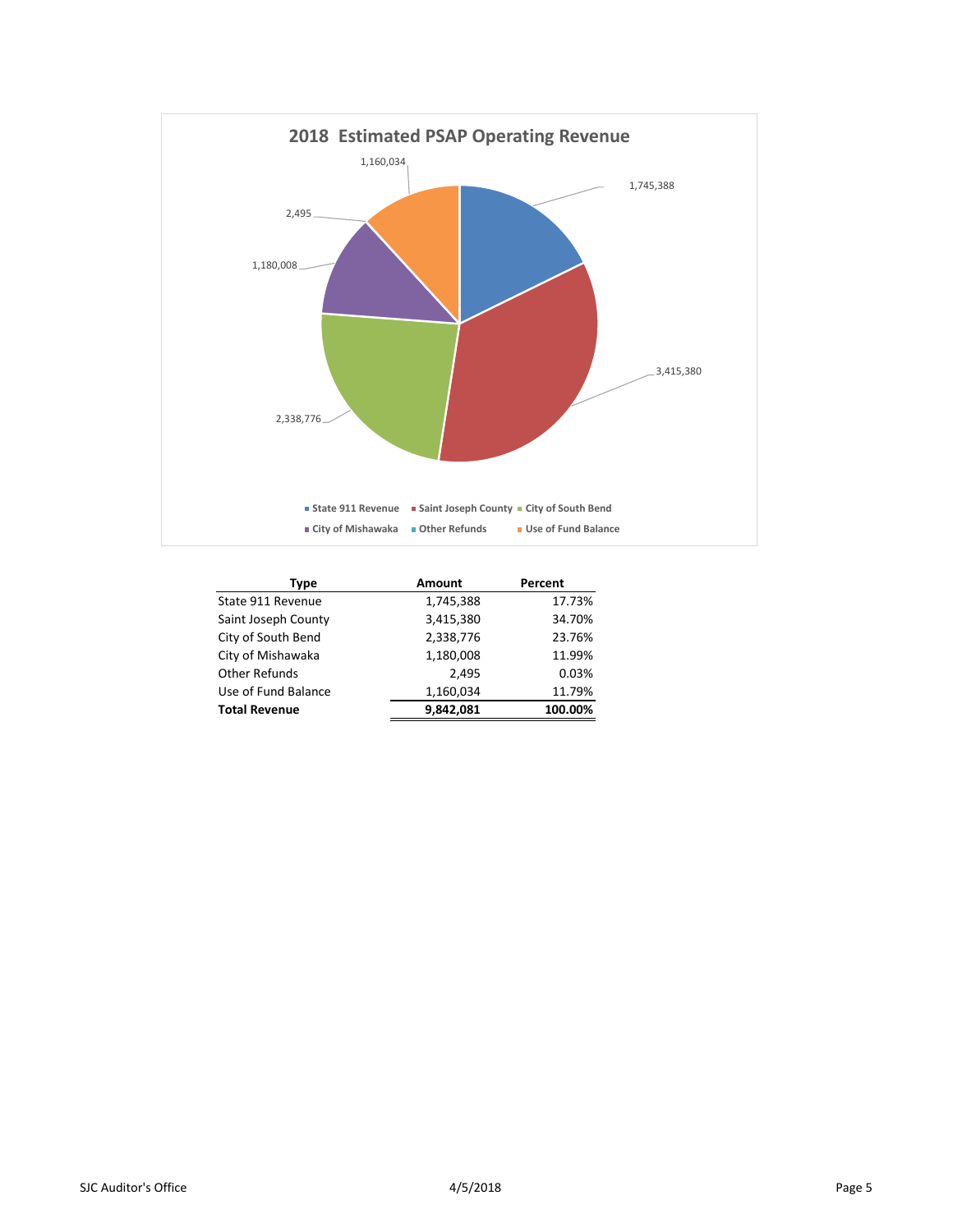

| Type                 | Amount    | Percent |
|----------------------|-----------|---------|
| State 911 Revenue    | 1,745,388 | 17.73%  |
| Saint Joseph County  | 3,415,380 | 34.70%  |
| City of South Bend   | 2,338,776 | 23.76%  |
| City of Mishawaka    | 1,180,008 | 11.99%  |
| <b>Other Refunds</b> | 2.495     | 0.03%   |
| Use of Fund Balance  | 1,160,034 | 11.79%  |
| <b>Total Revenue</b> | 9,842,081 | 100.00% |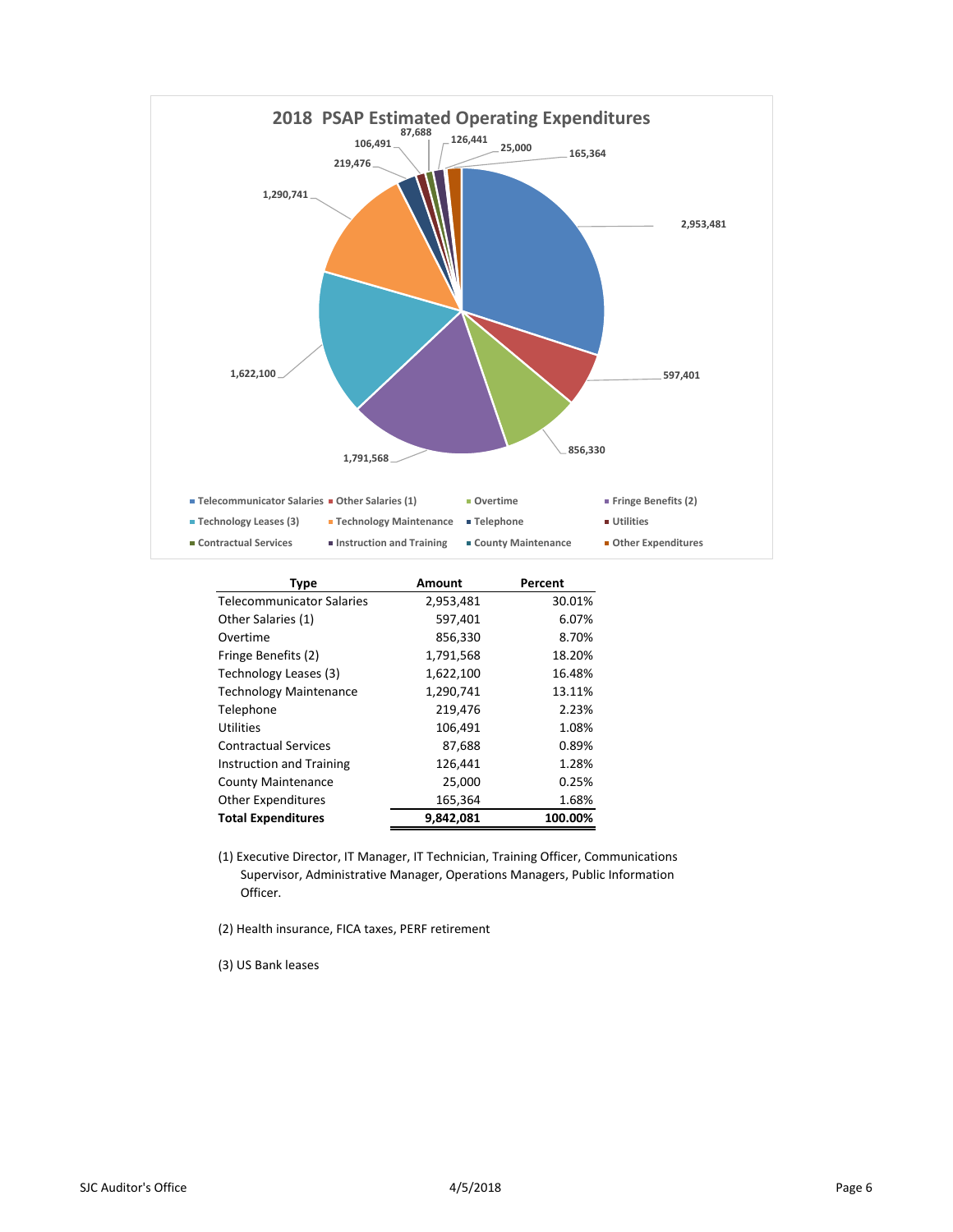

| <b>Type</b>                      | Amount    | Percent |
|----------------------------------|-----------|---------|
| <b>Telecommunicator Salaries</b> | 2,953,481 | 30.01%  |
| Other Salaries (1)               | 597,401   | 6.07%   |
| Overtime                         | 856,330   | 8.70%   |
| Fringe Benefits (2)              | 1,791,568 | 18.20%  |
| Technology Leases (3)            | 1,622,100 | 16.48%  |
| <b>Technology Maintenance</b>    | 1,290,741 | 13.11%  |
| Telephone                        | 219,476   | 2.23%   |
| Utilities                        | 106,491   | 1.08%   |
| <b>Contractual Services</b>      | 87,688    | 0.89%   |
| Instruction and Training         | 126,441   | 1.28%   |
| <b>County Maintenance</b>        | 25,000    | 0.25%   |
| <b>Other Expenditures</b>        | 165,364   | 1.68%   |
| <b>Total Expenditures</b>        | 9,842,081 | 100.00% |

(1) Executive Director, IT Manager, IT Technician, Training Officer, Communications Supervisor, Administrative Manager, Operations Managers, Public Information Officer.

(2) Health insurance, FICA taxes, PERF retirement

(3) US Bank leases